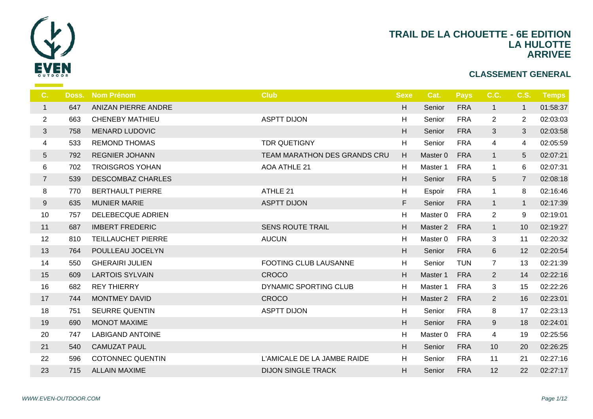

| C.              | Doss. | <b>Nom Prénom</b>         | <b>Club</b>                  | <b>Sexe</b> |                |
|-----------------|-------|---------------------------|------------------------------|-------------|----------------|
| $\mathbf{1}$    | 647   | ANIZAN PIERRE ANDRE       |                              | H.          | S <sub>6</sub> |
| $\overline{2}$  | 663   | <b>CHENEBY MATHIEU</b>    | <b>ASPTT DIJON</b>           | H           | S6             |
| 3               | 758   | <b>MENARD LUDOVIC</b>     |                              | H           | $S_6$          |
| 4               | 533   | <b>REMOND THOMAS</b>      | <b>TDR QUETIGNY</b>          | H           | $S_6$          |
| $5\phantom{.0}$ | 792   | <b>REGNIER JOHANN</b>     | TEAM MARATHON DES GRANDS CRU | H           | Ma             |
| 6               | 702   | <b>TROISGROS YOHAN</b>    | <b>AOA ATHLE 21</b>          | H           | Ma             |
| $\overline{7}$  | 539   | <b>DESCOMBAZ CHARLES</b>  |                              | H           | S <sub>6</sub> |
| 8               | 770   | <b>BERTHAULT PIERRE</b>   | ATHLE 21                     | H           | Es             |
| 9               | 635   | <b>MUNIER MARIE</b>       | <b>ASPTT DIJON</b>           | F           | S <sub>6</sub> |
| 10              | 757   | <b>DELEBECQUE ADRIEN</b>  |                              | H           | Ma             |
| 11              | 687   | <b>IMBERT FREDERIC</b>    | <b>SENS ROUTE TRAIL</b>      | H           | Ma             |
| 12              | 810   | <b>TEILLAUCHET PIERRE</b> | <b>AUCUN</b>                 | H           | Ma             |
| 13              | 764   | POULLEAU JOCELYN          |                              | H.          | S <sub>6</sub> |
| 14              | 550   | <b>GHERAIRI JULIEN</b>    | FOOTING CLUB LAUSANNE        | H           | S6             |
| 15              | 609   | <b>LARTOIS SYLVAIN</b>    | CROCO                        | H           | Ma             |
| 16              | 682   | <b>REY THIERRY</b>        | DYNAMIC SPORTING CLUB        | H           | Ma             |
| 17              | 744   | <b>MONTMEY DAVID</b>      | CROCO                        | H           | Ma             |
| 18              | 751   | <b>SEURRE QUENTIN</b>     | <b>ASPTT DIJON</b>           | H           | S <sub>6</sub> |
| 19              | 690   | <b>MONOT MAXIME</b>       |                              | H.          | S <sub>6</sub> |
| 20              | 747   | <b>LABIGAND ANTOINE</b>   |                              | H           | Ma             |
| 21              | 540   | <b>CAMUZAT PAUL</b>       |                              | H.          | S <sub>6</sub> |
| 22              | 596   | <b>COTONNEC QUENTIN</b>   | L'AMICALE DE LA JAMBE RAIDE  | H           | S6             |
| 23              | 715   | <b>ALLAIN MAXIME</b>      | <b>DIJON SINGLE TRACK</b>    | H           | S <sub>6</sub> |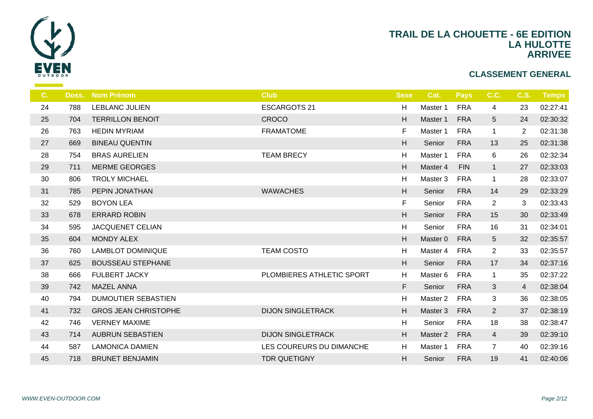

| C. | Doss. | <b>Nom Prénom</b>           | <b>Club</b>               | <b>Sexe</b>               | $\mathbf C$      |
|----|-------|-----------------------------|---------------------------|---------------------------|------------------|
| 24 | 788   | <b>LEBLANC JULIEN</b>       | <b>ESCARGOTS 21</b>       | H                         | Ma               |
| 25 | 704   | <b>TERRILLON BENOIT</b>     | <b>CROCO</b>              | H                         | Ma               |
| 26 | 763   | <b>HEDIN MYRIAM</b>         | <b>FRAMATOME</b>          | F.                        | Ma               |
| 27 | 669   | <b>BINEAU QUENTIN</b>       |                           | H                         | S <sub>6</sub>   |
| 28 | 754   | <b>BRAS AURELIEN</b>        | <b>TEAM BRECY</b>         | H                         | Ma               |
| 29 | 711   | <b>MERME GEORGES</b>        |                           | H                         | Ma               |
| 30 | 806   | <b>TROLY MICHAEL</b>        |                           | $\boldsymbol{\mathsf{H}}$ | Ma               |
| 31 | 785   | PEPIN JONATHAN              | <b>WAWACHES</b>           | H                         | S <sub>6</sub>   |
| 32 | 529   | <b>BOYON LEA</b>            |                           | F                         | $S_{\mathsf{G}}$ |
| 33 | 678   | <b>ERRARD ROBIN</b>         |                           | H                         | S <sub>d</sub>   |
| 34 | 595   | <b>JACQUENET CELIAN</b>     |                           | H                         | $S_6$            |
| 35 | 604   | <b>MONDY ALEX</b>           |                           | H                         | Mas              |
| 36 | 760   | <b>LAMBLOT DOMINIQUE</b>    | <b>TEAM COSTO</b>         | H                         | Ma               |
| 37 | 625   | <b>BOUSSEAU STEPHANE</b>    |                           | H                         | S <sub>6</sub>   |
| 38 | 666   | <b>FULBERT JACKY</b>        | PLOMBIERES ATHLETIC SPORT | H                         | Ma               |
| 39 | 742   | <b>MAZEL ANNA</b>           |                           | F                         | S <sub>6</sub>   |
| 40 | 794   | <b>DUMOUTIER SEBASTIEN</b>  |                           | H                         | Ma               |
| 41 | 732   | <b>GROS JEAN CHRISTOPHE</b> | <b>DIJON SINGLETRACK</b>  | H                         | Mas              |
| 42 | 746   | <b>VERNEY MAXIME</b>        |                           | H                         | S6               |
| 43 | 714   | <b>AUBRUN SEBASTIEN</b>     | <b>DIJON SINGLETRACK</b>  | H                         | Mas              |
| 44 | 587   | <b>LAMONICA DAMIEN</b>      | LES COUREURS DU DIMANCHE  | H                         | Ma               |
| 45 | 718   | <b>BRUNET BENJAMIN</b>      | <b>TDR QUETIGNY</b>       | H.                        | S <sub>6</sub>   |
|    |       |                             |                           |                           |                  |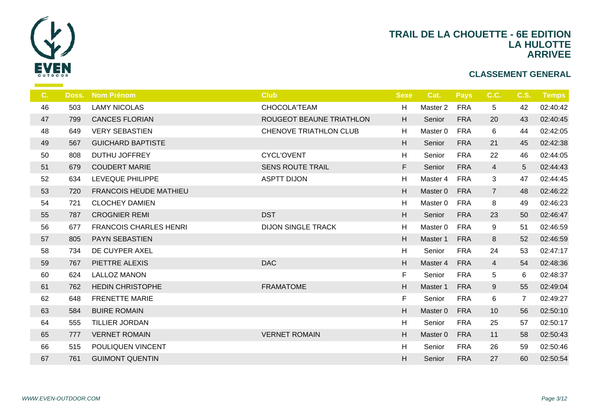

| 503 | <b>LAMY NICOLAS</b>           | CHOCOLA'TEAM                  | H                         | Ma             |
|-----|-------------------------------|-------------------------------|---------------------------|----------------|
| 799 | <b>CANCES FLORIAN</b>         | ROUGEOT BEAUNE TRIATHLON      | H                         | S <sub>6</sub> |
| 649 | <b>VERY SEBASTIEN</b>         | <b>CHENOVE TRIATHLON CLUB</b> | H                         | Ma             |
| 567 | <b>GUICHARD BAPTISTE</b>      |                               | H                         | S <sub>6</sub> |
| 808 | DUTHU JOFFREY                 | <b>CYCL'OVENT</b>             | H                         | $S_{\epsilon}$ |
| 679 | <b>COUDERT MARIE</b>          | <b>SENS ROUTE TRAIL</b>       | F                         | S <sub>6</sub> |
| 634 | LEVEQUE PHILIPPE              | <b>ASPTT DIJON</b>            | H                         | Ma             |
| 720 | <b>FRANCOIS HEUDE MATHIEU</b> |                               | H                         | Ma             |
| 721 | <b>CLOCHEY DAMIEN</b>         |                               | $\boldsymbol{\mathsf{H}}$ | Ma             |
| 787 | <b>CROGNIER REMI</b>          | <b>DST</b>                    | H                         | S <sub>6</sub> |
| 677 | <b>FRANCOIS CHARLES HENRI</b> | <b>DIJON SINGLE TRACK</b>     | H                         | Ma             |
| 805 | PAYN SEBASTIEN                |                               | H                         | Ma             |
| 734 | DE CUYPER AXEL                |                               | H                         | S <sub>6</sub> |
| 767 | PIETTRE ALEXIS                | <b>DAC</b>                    | H                         | Ma             |
| 624 | <b>LALLOZ MANON</b>           |                               | F.                        | S6             |
| 762 | <b>HEDIN CHRISTOPHE</b>       | <b>FRAMATOME</b>              | H                         | Ma             |
| 648 | <b>FRENETTE MARIE</b>         |                               | F.                        | S6             |
| 584 | <b>BUIRE ROMAIN</b>           |                               | $\boldsymbol{\mathsf{H}}$ | Ma             |
| 555 | <b>TILLIER JORDAN</b>         |                               | $\boldsymbol{\mathsf{H}}$ | S6             |
| 777 | <b>VERNET ROMAIN</b>          | <b>VERNET ROMAIN</b>          | H                         | Ma             |
| 515 | POULIQUEN VINCENT             |                               | H                         | $S_{\epsilon}$ |
| 761 | <b>GUIMONT QUENTIN</b>        |                               | H                         | S <sub>6</sub> |
|     |                               |                               |                           |                |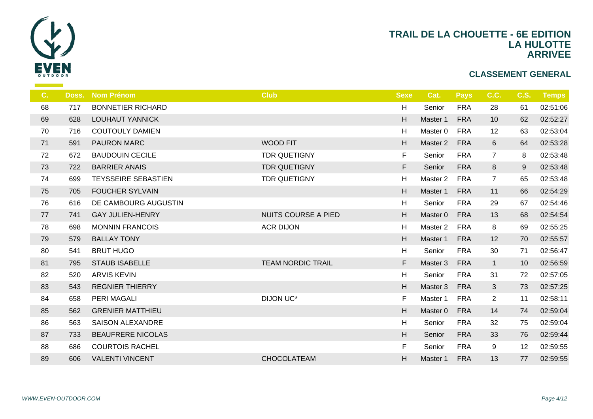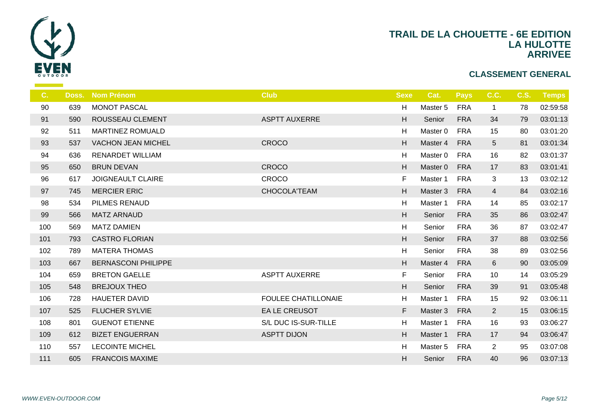

| $C_{\cdot}$ | Doss. | <b>Nom Prénom</b>          | <b>Club</b>                | <b>Sexe</b>               |                |
|-------------|-------|----------------------------|----------------------------|---------------------------|----------------|
| 90          | 639   | <b>MONOT PASCAL</b>        |                            | H                         | Ma             |
| 91          | 590   | <b>ROUSSEAU CLEMENT</b>    | <b>ASPTT AUXERRE</b>       | H                         | S <sub>6</sub> |
| 92          | 511   | <b>MARTINEZ ROMUALD</b>    |                            | H                         | Ma             |
| 93          | 537   | <b>VACHON JEAN MICHEL</b>  | <b>CROCO</b>               | $\boldsymbol{\mathsf{H}}$ | Ma             |
| 94          | 636   | <b>RENARDET WILLIAM</b>    |                            | H                         | Ma             |
| 95          | 650   | <b>BRUN DEVAN</b>          | CROCO                      | H                         | Ma             |
| 96          | 617   | <b>JOIGNEAULT CLAIRE</b>   | CROCO                      | F.                        | Ma             |
| 97          | 745   | <b>MERCIER ERIC</b>        | CHOCOLA'TEAM               | H                         | Ma             |
| 98          | 534   | PILMES RENAUD              |                            | $\boldsymbol{\mathsf{H}}$ | Ma             |
| 99          | 566   | <b>MATZ ARNAUD</b>         |                            | H                         | S <sub>6</sub> |
| 100         | 569   | <b>MATZ DAMIEN</b>         |                            | H                         | $S_{\epsilon}$ |
| 101         | 793   | <b>CASTRO FLORIAN</b>      |                            | H                         | $S_6$          |
| 102         | 789   | <b>MATERA THOMAS</b>       |                            | H                         | $S_6$          |
| 103         | 667   | <b>BERNASCONI PHILIPPE</b> |                            | H                         | Ma             |
| 104         | 659   | <b>BRETON GAELLE</b>       | <b>ASPTT AUXERRE</b>       | F.                        | S <sub>6</sub> |
| 105         | 548   | <b>BREJOUX THEO</b>        |                            | H                         | S <sub>6</sub> |
| 106         | 728   | <b>HAUETER DAVID</b>       | <b>FOULEE CHATILLONAIE</b> | H                         | Ma             |
| 107         | 525   | <b>FLUCHER SYLVIE</b>      | <b>EA LE CREUSOT</b>       | F                         | Ma             |
| 108         | 801   | <b>GUENOT ETIENNE</b>      | S/L DUC IS-SUR-TILLE       | H                         | Ma             |
| 109         | 612   | <b>BIZET ENGUERRAN</b>     | <b>ASPTT DIJON</b>         | H                         | Ma             |
| 110         | 557   | <b>LECOINTE MICHEL</b>     |                            | H                         | Ma             |
| 111         | 605   | <b>FRANCOIS MAXIME</b>     |                            | H                         | S <sub>6</sub> |
|             |       |                            |                            |                           |                |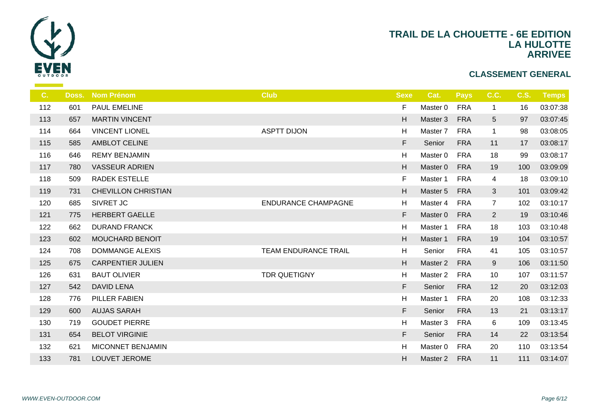

| C.  | Doss. | <b>Nom Prénom</b>          | <b>Club</b>                | <b>Sexe</b> |                |
|-----|-------|----------------------------|----------------------------|-------------|----------------|
| 112 | 601   | <b>PAUL EMELINE</b>        |                            | F           | Ma             |
| 113 | 657   | <b>MARTIN VINCENT</b>      |                            | H           | Ma             |
| 114 | 664   | <b>VINCENT LIONEL</b>      | <b>ASPTT DIJON</b>         | H           | Ma             |
| 115 | 585   | AMBLOT CELINE              |                            | F           | S <sub>d</sub> |
| 116 | 646   | <b>REMY BENJAMIN</b>       |                            | H           | Ma             |
| 117 | 780   | <b>VASSEUR ADRIEN</b>      |                            | H           | Ma             |
| 118 | 509   | <b>RADEK ESTELLE</b>       |                            | F           | Ma             |
| 119 | 731   | <b>CHEVILLON CHRISTIAN</b> |                            | H           | Ma             |
| 120 | 685   | SIVRET JC                  | <b>ENDURANCE CHAMPAGNE</b> | H           | Ma             |
| 121 | 775   | <b>HERBERT GAELLE</b>      |                            | F           | Ma             |
| 122 | 662   | <b>DURAND FRANCK</b>       |                            | H           | Ma             |
| 123 | 602   | MOUCHARD BENOIT            |                            | H           | Ma             |
| 124 | 708   | <b>DOMMANGE ALEXIS</b>     | TEAM ENDURANCE TRAIL       | H           | S <sub>6</sub> |
| 125 | 675   | <b>CARPENTIER JULIEN</b>   |                            | H           | Ma             |
| 126 | 631   | <b>BAUT OLIVIER</b>        | TDR QUETIGNY               | H           | Ma             |
| 127 | 542   | <b>DAVID LENA</b>          |                            | F.          | S <sub>d</sub> |
| 128 | 776   | <b>PILLER FABIEN</b>       |                            | H           | Ma             |
| 129 | 600   | <b>AUJAS SARAH</b>         |                            | F           | S <sub>d</sub> |
| 130 | 719   | <b>GOUDET PIERRE</b>       |                            | H           | Ma             |
| 131 | 654   | <b>BELOT VIRGINIE</b>      |                            | F           | S <sub>6</sub> |
| 132 | 621   | MICONNET BENJAMIN          |                            | H           | Ma             |
| 133 | 781   | LOUVET JEROME              |                            | H           | Ma             |
|     |       |                            |                            |             |                |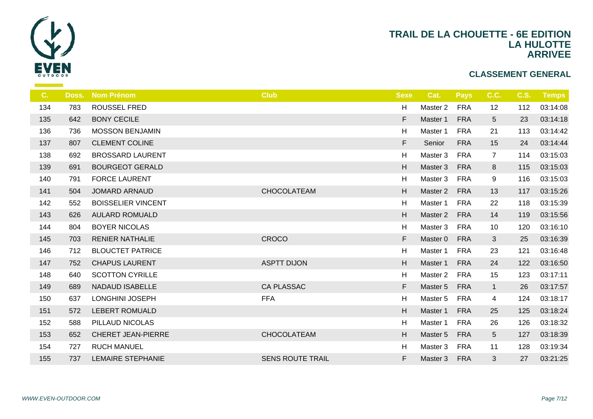

| C.  | Doss. | <b>Nom Prénom</b>         | <b>Club</b>             | <b>Sexe</b> |                |
|-----|-------|---------------------------|-------------------------|-------------|----------------|
| 134 | 783   | <b>ROUSSEL FRED</b>       |                         | H           | Ma             |
| 135 | 642   | <b>BONY CECILE</b>        |                         | F.          | Ma             |
| 136 | 736   | <b>MOSSON BENJAMIN</b>    |                         | H           | Ma             |
| 137 | 807   | <b>CLEMENT COLINE</b>     |                         | F.          | S <sub>d</sub> |
| 138 | 692   | <b>BROSSARD LAURENT</b>   |                         | H           | Ma             |
| 139 | 691   | <b>BOURGEOT GERALD</b>    |                         | H           | Ma             |
| 140 | 791   | <b>FORCE LAURENT</b>      |                         | H           | Ma             |
| 141 | 504   | <b>JOMARD ARNAUD</b>      | CHOCOLATEAM             | H           | Ma             |
| 142 | 552   | <b>BOISSELIER VINCENT</b> |                         | H           | Ma             |
| 143 | 626   | <b>AULARD ROMUALD</b>     |                         | H           | Ma             |
| 144 | 804   | <b>BOYER NICOLAS</b>      |                         | H           | Ma             |
| 145 | 703   | <b>RENIER NATHALIE</b>    | <b>CROCO</b>            | F           | Ma             |
| 146 | 712   | <b>BLOUCTET PATRICE</b>   |                         | H           | Ma             |
| 147 | 752   | <b>CHAPUS LAURENT</b>     | <b>ASPTT DIJON</b>      | H           | Ma             |
| 148 | 640   | <b>SCOTTON CYRILLE</b>    |                         | H           | Ma             |
| 149 | 689   | <b>NADAUD ISABELLE</b>    | <b>CA PLASSAC</b>       | F.          | Ma             |
| 150 | 637   | LONGHINI JOSEPH           | <b>FFA</b>              | H           | Ma             |
| 151 | 572   | <b>LEBERT ROMUALD</b>     |                         | H           | Ma             |
| 152 | 588   | PILLAUD NICOLAS           |                         | H           | Ma             |
| 153 | 652   | <b>CHERET JEAN-PIERRE</b> | CHOCOLATEAM             | H           | Ma             |
| 154 | 727   | <b>RUCH MANUEL</b>        |                         | H           | Ma             |
| 155 | 737   | <b>LEMAIRE STEPHANIE</b>  | <b>SENS ROUTE TRAIL</b> | F.          | Ma             |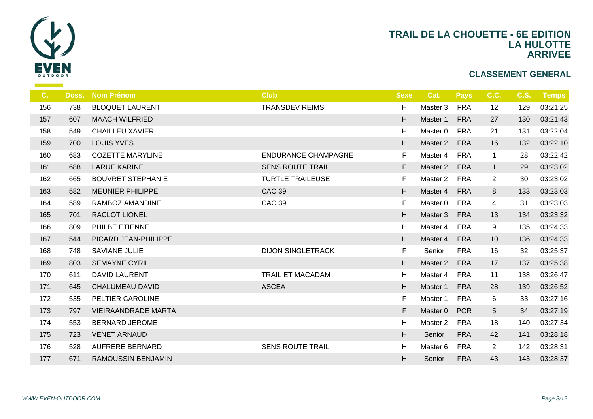

| C.  | Doss. | <b>Nom Prénom</b>          | <b>Club</b>                | <b>Sexe</b> |                |
|-----|-------|----------------------------|----------------------------|-------------|----------------|
| 156 | 738   | <b>BLOQUET LAURENT</b>     | <b>TRANSDEV REIMS</b>      | H           | Ma             |
| 157 | 607   | <b>MAACH WILFRIED</b>      |                            | H           | Ma             |
| 158 | 549   | <b>CHAILLEU XAVIER</b>     |                            | H           | Ma             |
| 159 | 700   | <b>LOUIS YVES</b>          |                            | H           | Ma             |
| 160 | 683   | <b>COZETTE MARYLINE</b>    | <b>ENDURANCE CHAMPAGNE</b> | F.          | Ma             |
| 161 | 688   | <b>LARUE KARINE</b>        | <b>SENS ROUTE TRAIL</b>    | F           | Ma             |
| 162 | 665   | <b>BOUVRET STEPHANIE</b>   | <b>TURTLE TRAILEUSE</b>    | F.          | Ma             |
| 163 | 582   | <b>MEUNIER PHILIPPE</b>    | <b>CAC 39</b>              | H           | Ma             |
| 164 | 589   | RAMBOZ AMANDINE            | <b>CAC 39</b>              | F.          | Ma             |
| 165 | 701   | RACLOT LIONEL              |                            | H           | Ma             |
| 166 | 809   | PHILBE ETIENNE             |                            | H           | Ma             |
| 167 | 544   | PICARD JEAN-PHILIPPE       |                            | H           | Ma             |
| 168 | 748   | SAVIANE JULIE              | <b>DIJON SINGLETRACK</b>   | F           | S <sub>6</sub> |
| 169 | 803   | <b>SEMAYNE CYRIL</b>       |                            | H.          | Ma             |
| 170 | 611   | <b>DAVID LAURENT</b>       | <b>TRAIL ET MACADAM</b>    | H           | Ma             |
| 171 | 645   | <b>CHALUMEAU DAVID</b>     | <b>ASCEA</b>               | H           | Ma             |
| 172 | 535   | PELTIER CAROLINE           |                            | F.          | Ma             |
| 173 | 797   | <b>VIEIRAANDRADE MARTA</b> |                            | F           | Ma             |
| 174 | 553   | <b>BERNARD JEROME</b>      |                            | H           | Ma             |
| 175 | 723   | <b>VENET ARNAUD</b>        |                            | H           | S <sub>6</sub> |
| 176 | 528   | <b>AUFRERE BERNARD</b>     | <b>SENS ROUTE TRAIL</b>    | H           | Ma             |
| 177 | 671   | <b>RAMOUSSIN BENJAMIN</b>  |                            | H           | S <sub>6</sub> |
|     |       |                            |                            |             |                |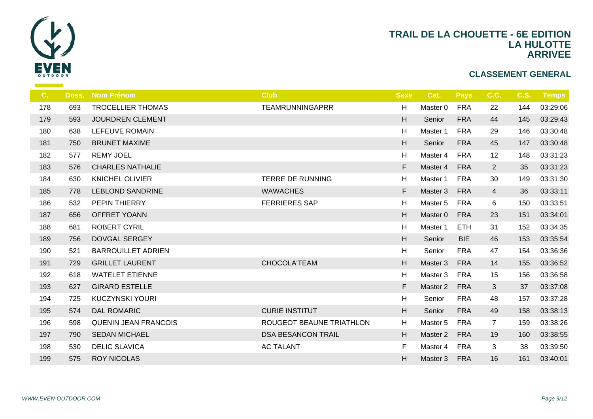

| C.  | Doss. | <b>Nom Prénom</b>           | <b>Club</b>               | <b>Sexe</b>               |                |
|-----|-------|-----------------------------|---------------------------|---------------------------|----------------|
| 178 | 693   | <b>TROCELLIER THOMAS</b>    | <b>TEAMRUNNINGAPRR</b>    | H                         | Ma             |
| 179 | 593   | <b>JOURDREN CLEMENT</b>     |                           | H                         | S <sub>6</sub> |
| 180 | 638   | LEFEUVE ROMAIN              |                           | H                         | Ma             |
| 181 | 750   | <b>BRUNET MAXIME</b>        |                           | $\boldsymbol{\mathsf{H}}$ | S <sub>6</sub> |
| 182 | 577   | <b>REMY JOEL</b>            |                           | H                         | Ma             |
| 183 | 576   | <b>CHARLES NATHALIE</b>     |                           | F                         | Ma             |
| 184 | 630   | <b>KNICHEL OLIVIER</b>      | <b>TERRE DE RUNNING</b>   | H                         | Ma             |
| 185 | 778   | <b>LEBLOND SANDRINE</b>     | <b>WAWACHES</b>           | F.                        | Ma             |
| 186 | 532   | PEPIN THIERRY               | <b>FERRIERES SAP</b>      | H                         | Ma             |
| 187 | 656   | OFFRET YOANN                |                           | H                         | Ma             |
| 188 | 681   | <b>ROBERT CYRIL</b>         |                           | H                         | Ma             |
| 189 | 756   | <b>DOVGAL SERGEY</b>        |                           | H                         | S <sub>6</sub> |
| 190 | 521   | <b>BARROUILLET ADRIEN</b>   |                           | H                         | S <sub>6</sub> |
| 191 | 729   | <b>GRILLET LAURENT</b>      | CHOCOLA'TEAM              | H                         | Ma             |
| 192 | 618   | <b>WATELET ETIENNE</b>      |                           | H                         | Ma             |
| 193 | 627   | <b>GIRARD ESTELLE</b>       |                           | F                         | Ma             |
| 194 | 725   | <b>KUCZYNSKI YOURI</b>      |                           | H                         | $S_{\epsilon}$ |
| 195 | 574   | <b>DAL ROMARIC</b>          | <b>CURIE INSTITUT</b>     | H.                        | S <sub>6</sub> |
| 196 | 598   | <b>QUENIN JEAN FRANCOIS</b> | ROUGEOT BEAUNE TRIATHLON  | H                         | Ma             |
| 197 | 790   | <b>SEDAN MICHAEL</b>        | <b>DSA BESANCON TRAIL</b> | H                         | Ma             |
| 198 | 530   | <b>DELIC SLAVICA</b>        | <b>AC TALANT</b>          | F                         | Ma             |
| 199 | 575   | <b>ROY NICOLAS</b>          |                           | H.                        | Ma             |
|     |       |                             |                           |                           |                |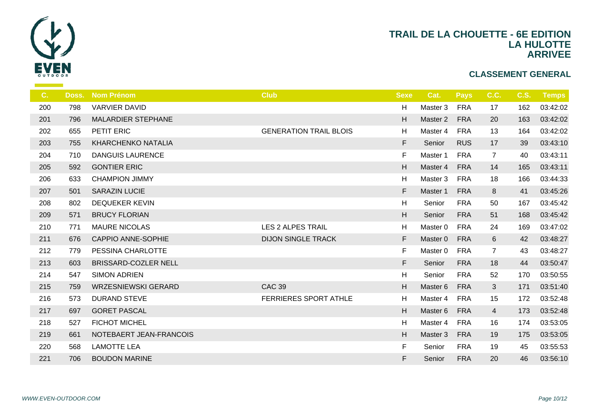

| C.  | Doss. | <b>Nom Prénom</b>           | <b>Club</b>                   | <b>Sexe</b> | $\epsilon$     |
|-----|-------|-----------------------------|-------------------------------|-------------|----------------|
| 200 | 798   | <b>VARVIER DAVID</b>        |                               | H           | Ma             |
| 201 | 796   | <b>MALARDIER STEPHANE</b>   |                               | H           | Ma             |
| 202 | 655   | PETIT ERIC                  | <b>GENERATION TRAIL BLOIS</b> | H           | Ma             |
| 203 | 755   | <b>KHARCHENKO NATALIA</b>   |                               | F           | S <sub>6</sub> |
| 204 | 710   | <b>DANGUIS LAURENCE</b>     |                               | F           | Ma             |
| 205 | 592   | <b>GONTIER ERIC</b>         |                               | H           | Ma             |
| 206 | 633   | <b>CHAMPION JIMMY</b>       |                               | H           | Ma             |
| 207 | 501   | <b>SARAZIN LUCIE</b>        |                               | F           | Ma             |
| 208 | 802   | <b>DEQUEKER KEVIN</b>       |                               | H           | $S_{\epsilon}$ |
| 209 | 571   | <b>BRUCY FLORIAN</b>        |                               | H           | S <sub>6</sub> |
| 210 | 771   | <b>MAURE NICOLAS</b>        | <b>LES 2 ALPES TRAIL</b>      | H           | Ma             |
| 211 | 676   | CAPPIO ANNE-SOPHIE          | <b>DIJON SINGLE TRACK</b>     | F           | Ma             |
| 212 | 779   | PESSINA CHARLOTTE           |                               | F.          | Ma             |
| 213 | 603   | <b>BRISSARD-COZLER NELL</b> |                               | F           | S <sub>6</sub> |
| 214 | 547   | <b>SIMON ADRIEN</b>         |                               | H           | $S_6$          |
| 215 | 759   | <b>WRZESNIEWSKI GERARD</b>  | <b>CAC 39</b>                 | H           | Ma             |
| 216 | 573   | <b>DURAND STEVE</b>         | FERRIERES SPORT ATHLE         | H           | Ma             |
| 217 | 697   | <b>GORET PASCAL</b>         |                               | H           | Ma             |
| 218 | 527   | <b>FICHOT MICHEL</b>        |                               | H           | Ma             |
| 219 | 661   | NOTEBAERT JEAN-FRANCOIS     |                               | H           | Ma             |
| 220 | 568   | <b>LAMOTTE LEA</b>          |                               | F.          | S6             |
| 221 | 706   | <b>BOUDON MARINE</b>        |                               | F.          | S <sub>6</sub> |
|     |       |                             |                               |             |                |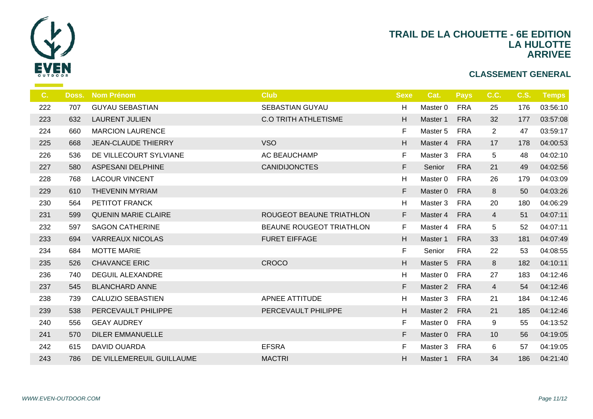

| C <sub>1</sub> | Doss. | <b>Nom Prénom</b>          | <b>Club</b>                     | <b>Sexe</b>               | $\mathbf C$    |
|----------------|-------|----------------------------|---------------------------------|---------------------------|----------------|
| 222            | 707   | <b>GUYAU SEBASTIAN</b>     | <b>SEBASTIAN GUYAU</b>          | H                         | Ma             |
| 223            | 632   | <b>LAURENT JULIEN</b>      | <b>C.O TRITH ATHLETISME</b>     | H                         | Ma             |
| 224            | 660   | <b>MARCION LAURENCE</b>    |                                 | F.                        | Ma             |
| 225            | 668   | <b>JEAN-CLAUDE THIERRY</b> | <b>VSO</b>                      | H                         | Ma             |
| 226            | 536   | DE VILLECOURT SYLVIANE     | AC BEAUCHAMP                    | F                         | Ma             |
| 227            | 580   | ASPESANI DELPHINE          | <b>CANIDIJONCTES</b>            | F.                        | S <sub>d</sub> |
| 228            | 768   | <b>LACOUR VINCENT</b>      |                                 | H                         | Ma             |
| 229            | 610   | <b>THEVENIN MYRIAM</b>     |                                 | F                         | Ma             |
| 230            | 564   | PETITOT FRANCK             |                                 | H                         | Ma             |
| 231            | 599   | <b>QUENIN MARIE CLAIRE</b> | ROUGEOT BEAUNE TRIATHLON        | F.                        | Ma             |
| 232            | 597   | <b>SAGON CATHERINE</b>     | <b>BEAUNE ROUGEOT TRIATHLON</b> | F.                        | Ma             |
| 233            | 694   | <b>VARREAUX NICOLAS</b>    | <b>FURET EIFFAGE</b>            | H                         | Ma             |
| 234            | 684   | <b>MOTTE MARIE</b>         |                                 | F                         | S <sub>d</sub> |
| 235            | 526   | <b>CHAVANCE ERIC</b>       | <b>CROCO</b>                    | H                         | Ma             |
| 236            | 740   | <b>DEGUIL ALEXANDRE</b>    |                                 | $\boldsymbol{\mathsf{H}}$ | Ma             |
| 237            | 545   | <b>BLANCHARD ANNE</b>      |                                 | F.                        | Ma             |
| 238            | 739   | <b>CALUZIO SEBASTIEN</b>   | APNEE ATTITUDE                  | H                         | Ma             |
| 239            | 538   | PERCEVAULT PHILIPPE        | PERCEVAULT PHILIPPE             | H                         | Mas            |
| 240            | 556   | <b>GEAY AUDREY</b>         |                                 | F.                        | Ma             |
| 241            | 570   | <b>DILER EMMANUELLE</b>    |                                 | F.                        | Mas            |
| 242            | 615   | <b>DAVID OUARDA</b>        | <b>EFSRA</b>                    | F                         | Ma             |
| 243            | 786   | DE VILLEMEREUIL GUILLAUME  | <b>MACTRI</b>                   | H                         | Mas            |